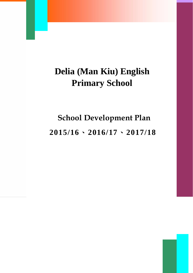## **Delia (Man Kiu) English Primary School**

# **School Development Plan 2015/16**、**2016/17**、**2017/18**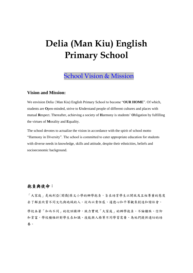## **Delia (Man Kiu) English Primary School**

### School Vision & Mission

#### **Vision and Mission:**

We envision Delia (Man Kiu) English Primary School to become "**OUR HOME**". Of which, students are **O**pen-minded, strive to **U**nderstand people of different cultures and places with mutual **R**espect. Thereafter, achieving a society of **H**armony is students' **O**bligation by fulfilling the virtues of **M**orality and **E**quality.

The school devotes to actualize the vision in accordance with the spirit of school motto "Harmony in Diversity". The school is committed to cater appropriate education for students with diverse needs in knowledge, skills and attitude, despite their ethnicities, beliefs and socioeconomic background.

### 抱負與使命:

「大家庭」是地利亞(閩僑)英文小學的辦學抱負,旨在培育學生以開放及互相尊重的態度 去了解並欣賞不同文化與地域的人。從而以責任感、道德心和平等觀來創造和諧社會。 學校本著「和而不同」的校訓精神,致力實現「大家庭」的辦學抱負。不論種族、信仰 和貧富,學校積極針對學生在知識、技能與人格等不同學習需要、為他們提供適切的培 養。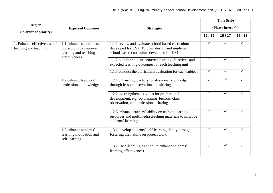| Major<br>(in order of priority)                      | <b>Expected Outcomes</b>                                                                    | <b>Strategies</b>                                                                                                                                   | <b>Time Scale</b>             |       |       |  |
|------------------------------------------------------|---------------------------------------------------------------------------------------------|-----------------------------------------------------------------------------------------------------------------------------------------------------|-------------------------------|-------|-------|--|
|                                                      |                                                                                             |                                                                                                                                                     | (Please insert $\checkmark$ ) |       |       |  |
|                                                      |                                                                                             |                                                                                                                                                     | 15/16                         | 16/17 | 17/18 |  |
| 1. Enhance effectiveness of<br>learning and teaching | 1.1 enhance school-based<br>curriculum to improve<br>learning and teaching<br>effectiveness | 1.1.1 review and evaluate school-based curriculum<br>developed for KS2. To plan, design and implement<br>school-based curriculum developed for KS1. | $\checkmark$                  |       |       |  |
|                                                      |                                                                                             | 1.1.2 plan the student-centered learning objectives and<br>expected learning outcomes for each teaching unit                                        | $\checkmark$                  |       |       |  |
|                                                      |                                                                                             | 1.1.3 conduct the curriculum evaluation for each subject                                                                                            | $\checkmark$                  | ✓     |       |  |
|                                                      | 1.2 enhance teachers'<br>professional knowledge                                             | 1.2.1 enhancing teachers' professional knowledge<br>through lesson observation and sharing                                                          | $\checkmark$                  |       |       |  |
|                                                      |                                                                                             | 1.2.2 to strengthen activities for professional<br>development, e.g. co-planning lessons, class<br>observation, and professional sharing            | $\checkmark$                  | ✓     |       |  |
|                                                      |                                                                                             | 1.2.3 enhance teachers' ability on using e-learning<br>resources and multimedia teaching materials to improve<br>students' learning                 | $\checkmark$                  | ✓     |       |  |
|                                                      | 1.3 enhance students'<br>learning motivation and<br>self-learning                           | 1.3.1 develop students' self-learning ability through<br>fostering their skills on project work                                                     | $\checkmark$                  |       |       |  |
|                                                      |                                                                                             | 1.3.2 use e-learning as a tool to enhance students'<br>learning effectiveness                                                                       | $\checkmark$                  | ✓     |       |  |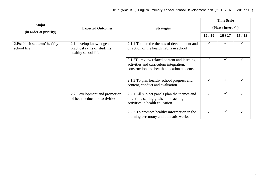|                                               |                                                                                   |                                                                                                                                     | <b>Time Scale</b>             |       |       |
|-----------------------------------------------|-----------------------------------------------------------------------------------|-------------------------------------------------------------------------------------------------------------------------------------|-------------------------------|-------|-------|
| <b>Major</b><br>(in order of priority)        | <b>Expected Outcomes</b>                                                          | <b>Strategies</b>                                                                                                                   | (Please insert $\checkmark$ ) |       |       |
|                                               |                                                                                   |                                                                                                                                     | 15/16                         | 16/17 | 17/18 |
| 2. Establish students' healthy<br>school life | 2.1 develop knowledge and<br>practical skills of students'<br>healthy school life | 2.1.1 To plan the themes of development and<br>direction of the health habits in school                                             | $\checkmark$                  |       |       |
|                                               |                                                                                   | 2.1.2To review related content and learning<br>activities and curriculum integration,<br>construction and health education students | ✓                             |       |       |
|                                               |                                                                                   | 2.1.3 To plan healthy school progress and<br>content, conduct and evaluation                                                        | $\checkmark$                  |       |       |
|                                               | 2.2 Development and promotion<br>of health education activities                   | 2.2.1 All subject panels plan the themes and<br>direction, setting goals and teaching<br>activities in health education             | $\checkmark$                  |       |       |
|                                               |                                                                                   | 2.2.2 To promote healthy information in the<br>morning ceremony and thematic weeks                                                  | $\checkmark$                  |       |       |